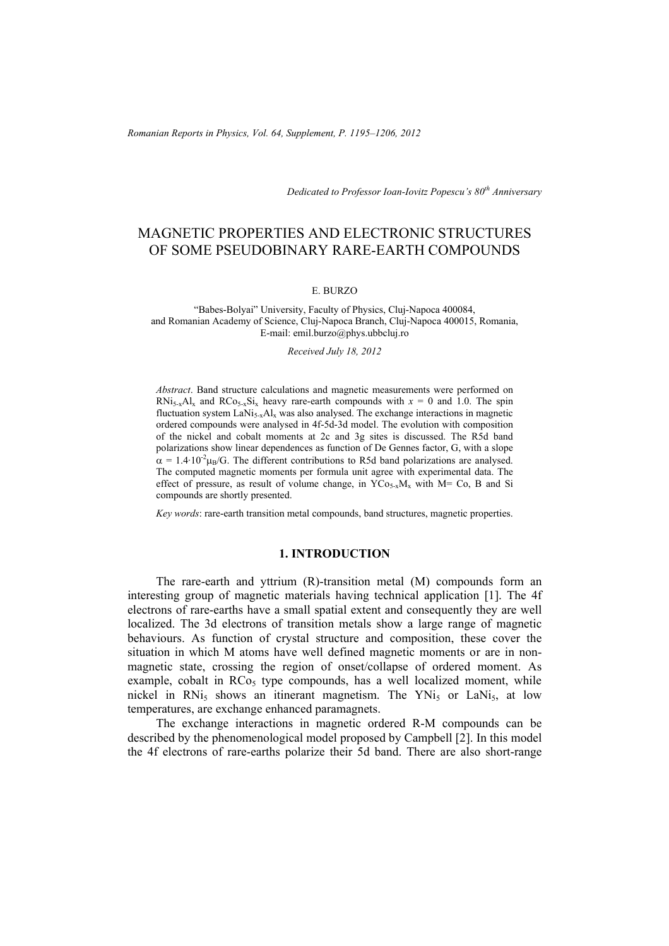*Dedicated to Professor Ioan-Iovitz Popescu's 80th Anniversary*

# MAGNETIC PROPERTIES AND ELECTRONIC STRUCTURES OF SOME PSEUDOBINARY RARE-EARTH COMPOUNDS

#### E. BURZO

"Babes-Bolyai" University, Faculty of Physics, Cluj-Napoca 400084, and Romanian Academy of Science, Cluj-Napoca Branch, Cluj-Napoca 400015, Romania, E-mail: emil.burzo@phys.ubbcluj.ro

#### *Received July 18, 2012*

*Abstract*. Band structure calculations and magnetic measurements were performed on RNi<sub>5-x</sub>Al<sub>x</sub> and RCo<sub>5-x</sub>Si<sub>x</sub> heavy rare-earth compounds with  $x = 0$  and 1.0. The spin fluctuation system LaNi<sub>5x</sub>Al<sub>x</sub> was also analysed. The exchange interactions in magnetic ordered compounds were analysed in 4f-5d-3d model. The evolution with composition of the nickel and cobalt moments at 2c and 3g sites is discussed. The R5d band polarizations show linear dependences as function of De Gennes factor, G, with a slope  $\alpha = 1.4 \cdot 10^{-2} \mu_{B}/G$ . The different contributions to R5d band polarizations are analysed. The computed magnetic moments per formula unit agree with experimental data. The effect of pressure, as result of volume change, in  $YCo_{5-x}M_x$  with M= Co, B and Si compounds are shortly presented.

*Key words*: rare-earth transition metal compounds, band structures, magnetic properties.

# **1. INTRODUCTION**

The rare-earth and yttrium (R)-transition metal (M) compounds form an interesting group of magnetic materials having technical application [1]. The 4f electrons of rare-earths have a small spatial extent and consequently they are well localized. The 3d electrons of transition metals show a large range of magnetic behaviours. As function of crystal structure and composition, these cover the situation in which M atoms have well defined magnetic moments or are in nonmagnetic state, crossing the region of onset/collapse of ordered moment. As example, cobalt in  $RCo<sub>5</sub>$  type compounds, has a well localized moment, while nickel in RNi<sub>5</sub> shows an itinerant magnetism. The YNi<sub>5</sub> or LaNi<sub>5</sub>, at low temperatures, are exchange enhanced paramagnets.

The exchange interactions in magnetic ordered R-M compounds can be described by the phenomenological model proposed by Campbell [2]. In this model the 4f electrons of rare-earths polarize their 5d band. There are also short-range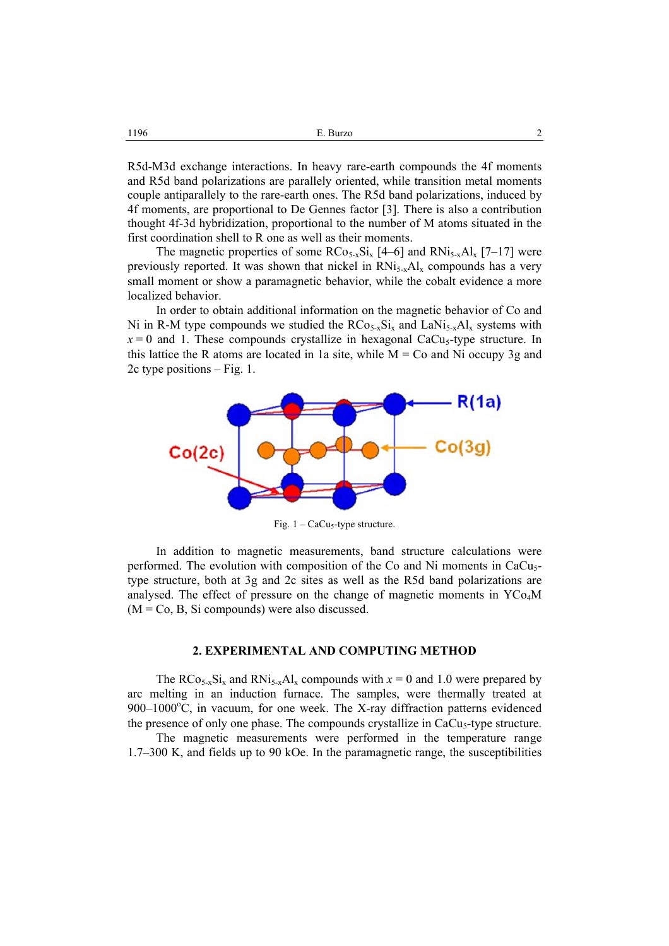R5d-M3d exchange interactions. In heavy rare-earth compounds the 4f moments and R5d band polarizations are parallely oriented, while transition metal moments couple antiparallely to the rare-earth ones. The R5d band polarizations, induced by 4f moments, are proportional to De Gennes factor [3]. There is also a contribution thought 4f-3d hybridization, proportional to the number of M atoms situated in the first coordination shell to R one as well as their moments.

The magnetic properties of some  $RCo_{5-x}Si_x$  [4–6] and  $RNi_{5-x}Al_x$  [7–17] were previously reported. It was shown that nickel in  $RN$ <sub>15-x</sub>Al<sub>x</sub> compounds has a very small moment or show a paramagnetic behavior, while the cobalt evidence a more localized behavior.

In order to obtain additional information on the magnetic behavior of Co and Ni in R-M type compounds we studied the  $RCo_{5-x}Si_x$  and  $LaNi_{5-x}Al_x$  systems with  $x = 0$  and 1. These compounds crystallize in hexagonal CaCu<sub>5</sub>-type structure. In this lattice the R atoms are located in 1a site, while  $M = Co$  and Ni occupy 3g and 2c type positions – Fig. 1.



Fig.  $1 - \text{CaCu}_5$ -type structure.

In addition to magnetic measurements, band structure calculations were performed. The evolution with composition of the Co and Ni moments in CaCu<sub>5</sub>type structure, both at 3g and 2c sites as well as the R5d band polarizations are analysed. The effect of pressure on the change of magnetic moments in  $YCo<sub>4</sub>M$  $(M = Co, B, Si compounds)$  were also discussed.

## **2. EXPERIMENTAL AND COMPUTING METHOD**

The RCo<sub>5-x</sub>Si<sub>x</sub> and RNi<sub>5-x</sub>Al<sub>x</sub> compounds with  $x = 0$  and 1.0 were prepared by arc melting in an induction furnace. The samples, were thermally treated at  $900-1000^{\circ}$ C, in vacuum, for one week. The X-ray diffraction patterns evidenced the presence of only one phase. The compounds crystallize in CaCu<sub>5</sub>-type structure.

The magnetic measurements were performed in the temperature range 1.7–300 K, and fields up to 90 kOe. In the paramagnetic range, the susceptibilities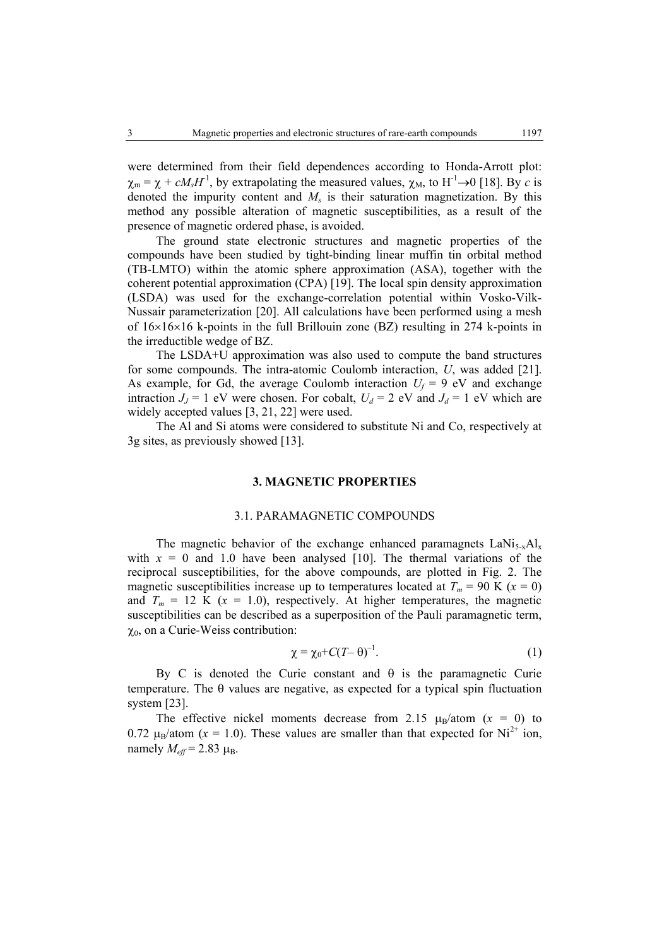were determined from their field dependences according to Honda-Arrott plot:  $\chi_{\rm m} = \chi + cM_sH^1$ , by extrapolating the measured values,  $\chi_{\rm M}$ , to H<sup>-1</sup>→0 [18]. By *c* is denoted the impurity content and  $M_s$  is their saturation magnetization. By this method any possible alteration of magnetic susceptibilities, as a result of the presence of magnetic ordered phase, is avoided.

The ground state electronic structures and magnetic properties of the compounds have been studied by tight-binding linear muffin tin orbital method (TB-LMTO) within the atomic sphere approximation (ASA), together with the coherent potential approximation (CPA) [19]. The local spin density approximation (LSDA) was used for the exchange-correlation potential within Vosko-Vilk-Nussair parameterization [20]. All calculations have been performed using a mesh of 16×16×16 k-points in the full Brillouin zone (BZ) resulting in 274 k-points in the irreductible wedge of BZ.

The LSDA+U approximation was also used to compute the band structures for some compounds. The intra-atomic Coulomb interaction, *U*, was added [21]. As example, for Gd, the average Coulomb interaction  $U_f = 9$  eV and exchange intraction  $J_J = 1$  eV were chosen. For cobalt,  $U_d = 2$  eV and  $J_d = 1$  eV which are widely accepted values [3, 21, 22] were used.

The Al and Si atoms were considered to substitute Ni and Co, respectively at 3g sites, as previously showed [13].

## **3. MAGNETIC PROPERTIES**

#### 3.1. PARAMAGNETIC COMPOUNDS

The magnetic behavior of the exchange enhanced paramagnets  $LaNi<sub>5-x</sub>Al<sub>x</sub>$ with  $x = 0$  and 1.0 have been analysed [10]. The thermal variations of the reciprocal susceptibilities, for the above compounds, are plotted in Fig. 2. The magnetic susceptibilities increase up to temperatures located at  $T_m = 90$  K ( $x = 0$ ) and  $T_m = 12$  K ( $x = 1.0$ ), respectively. At higher temperatures, the magnetic susceptibilities can be described as a superposition of the Pauli paramagnetic term,  $\chi_0$ , on a Curie-Weiss contribution:

$$
\chi = \chi_0 + C(T - \theta)^{-1}.\tag{1}
$$

By C is denoted the Curie constant and  $\theta$  is the paramagnetic Curie temperature. The θ values are negative, as expected for a typical spin fluctuation system [23].

The effective nickel moments decrease from 2.15  $\mu_B$ /atom ( $x = 0$ ) to 0.72  $\mu_B$ /atom (x = 1.0). These values are smaller than that expected for Ni<sup>2+</sup> ion, namely  $M_{\text{eff}}$  = 2.83  $\mu_{\text{B}}$ .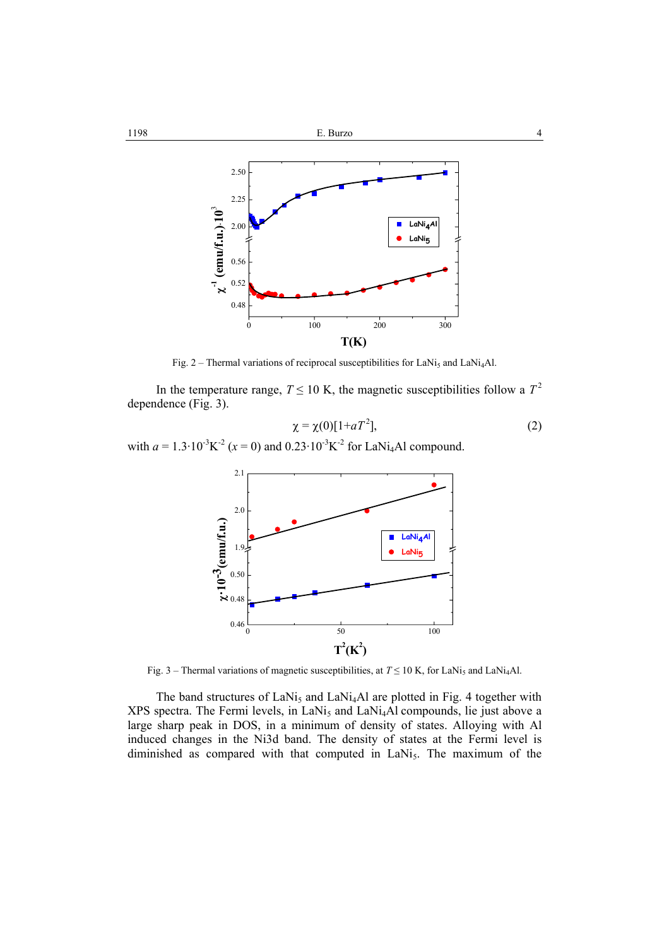

Fig. 2 – Thermal variations of reciprocal susceptibilities for LaNi<sub>5</sub> and LaNi<sub>4</sub>Al.

In the temperature range,  $T \le 10$  K, the magnetic susceptibilities follow a  $T^2$ dependence (Fig. 3).

$$
\chi = \chi(0)[1 + aT^2],\tag{2}
$$

with  $a = 1.3 \cdot 10^{-3} K^2$  ( $x = 0$ ) and  $0.23 \cdot 10^{-3} K^2$  for LaNi<sub>4</sub>Al compound.



Fig. 3 – Thermal variations of magnetic susceptibilities, at  $T \le 10$  K, for LaNi<sub>5</sub> and LaNi<sub>4</sub>Al.

The band structures of  $LaNi<sub>5</sub>$  and  $LaNi<sub>4</sub>Al$  are plotted in Fig. 4 together with  $XPS$  spectra. The Fermi levels, in LaNi<sub>5</sub> and LaNi<sub>4</sub>Al compounds, lie just above a large sharp peak in DOS, in a minimum of density of states. Alloying with Al induced changes in the Ni3d band. The density of states at the Fermi level is diminished as compared with that computed in LaNi<sub>5</sub>. The maximum of the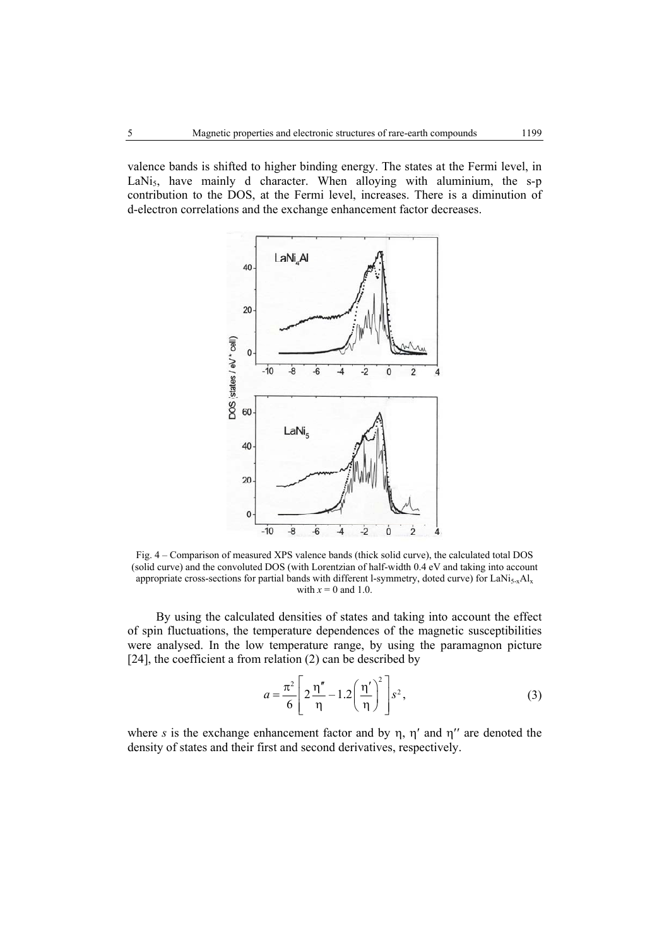valence bands is shifted to higher binding energy. The states at the Fermi level, in LaNi<sub>5</sub>, have mainly d character. When alloying with aluminium, the s-p contribution to the DOS, at the Fermi level, increases. There is a diminution of d-electron correlations and the exchange enhancement factor decreases.



Fig. 4 – Comparison of measured XPS valence bands (thick solid curve), the calculated total DOS (solid curve) and the convoluted DOS (with Lorentzian of half-width 0.4 eV and taking into account appropriate cross-sections for partial bands with different l-symmetry, doted curve) for LaNi $_{5-x}$ Al<sub>x</sub> with  $x = 0$  and 1.0.

By using the calculated densities of states and taking into account the effect of spin fluctuations, the temperature dependences of the magnetic susceptibilities were analysed. In the low temperature range, by using the paramagnon picture [24], the coefficient a from relation (2) can be described by

$$
a = \frac{\pi^2}{6} \left[ 2 \frac{\eta''}{\eta} - 1.2 \left( \frac{\eta'}{\eta} \right)^2 \right] s^2,
$$
 (3)

where *s* is the exchange enhancement factor and by  $\eta$ ,  $\eta'$  and  $\eta''$  are denoted the density of states and their first and second derivatives, respectively.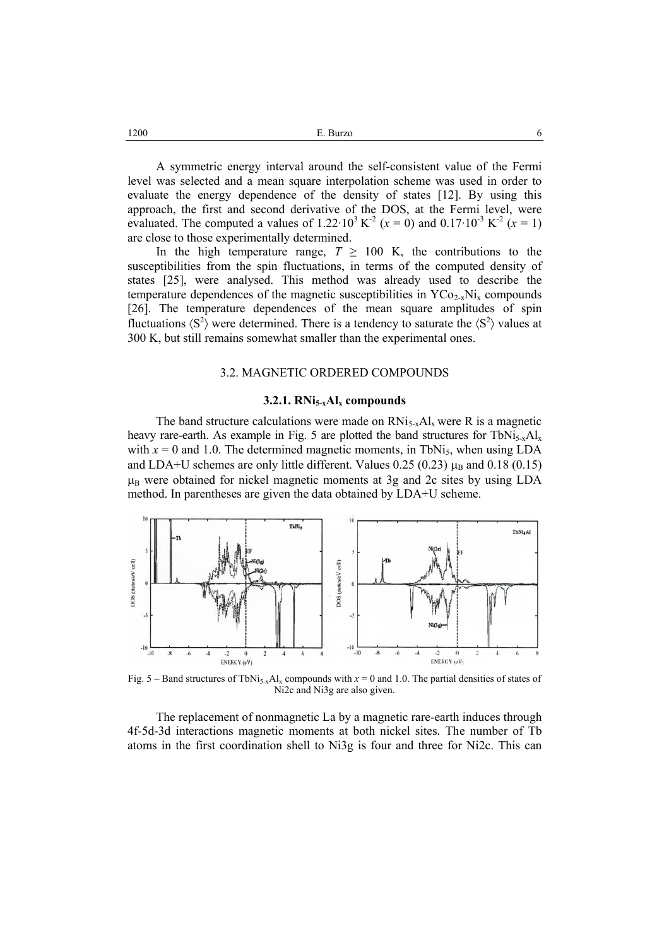$E.$  Burzo 6

A symmetric energy interval around the self-consistent value of the Fermi level was selected and a mean square interpolation scheme was used in order to evaluate the energy dependence of the density of states [12]. By using this approach, the first and second derivative of the DOS, at the Fermi level, were evaluated. The computed a values of 1.22 $\cdot 10^3$  K<sup>-2</sup> (*x* = 0) and 0.17 $\cdot 10^3$  K<sup>-2</sup> (*x* = 1) are close to those experimentally determined.

In the high temperature range,  $T \geq 100$  K, the contributions to the susceptibilities from the spin fluctuations, in terms of the computed density of states [25], were analysed. This method was already used to describe the temperature dependences of the magnetic susceptibilities in  $YCO_{2-x}Ni_x$  compounds [26]. The temperature dependences of the mean square amplitudes of spin fluctuations  $\langle S^2 \rangle$  were determined. There is a tendency to saturate the  $\langle S^2 \rangle$  values at 300 K, but still remains somewhat smaller than the experimental ones.

## 3.2. MAGNETIC ORDERED COMPOUNDS

#### **3.2.1. RNi5-xAlx compounds**

The band structure calculations were made on  $RNi<sub>5-x</sub>Al<sub>x</sub>$  were R is a magnetic heavy rare-earth. As example in Fig. 5 are plotted the band structures for TbNi<sub>5-x</sub>Al<sub>x</sub> with  $x = 0$  and 1.0. The determined magnetic moments, in TbNi<sub>5</sub>, when using LDA and LDA+U schemes are only little different. Values 0.25 (0.23)  $\mu_B$  and 0.18 (0.15)  $\mu_B$  were obtained for nickel magnetic moments at 3g and 2c sites by using LDA method. In parentheses are given the data obtained by LDA+U scheme.



Fig. 5 – Band structures of TbNi<sub>5-x</sub>Al<sub>x</sub> compounds with  $x = 0$  and 1.0. The partial densities of states of Ni2c and Ni3g are also given.

The replacement of nonmagnetic La by a magnetic rare-earth induces through 4f-5d-3d interactions magnetic moments at both nickel sites. The number of Tb atoms in the first coordination shell to Ni3g is four and three for Ni2c. This can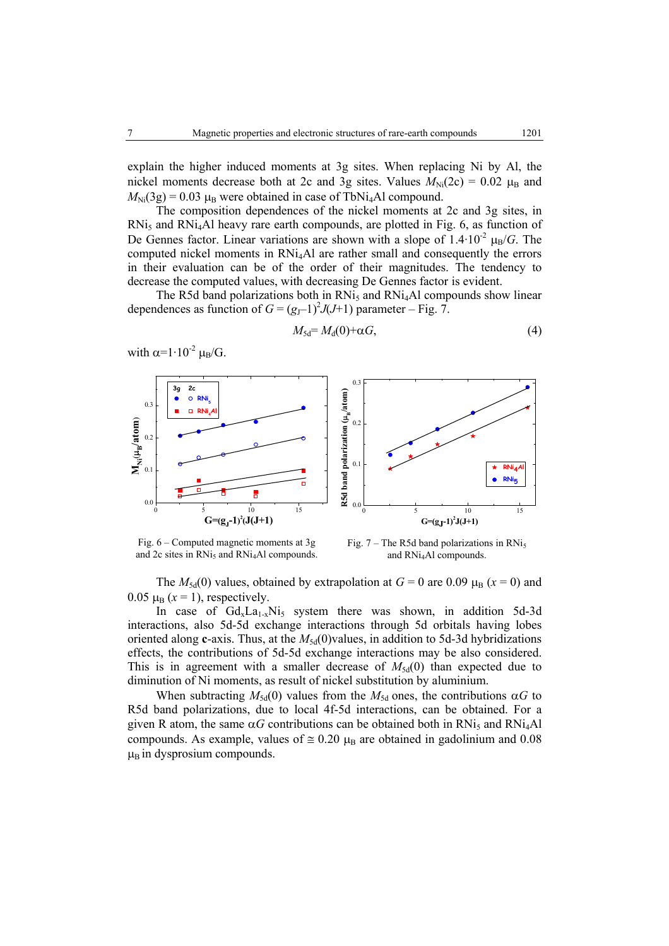explain the higher induced moments at 3g sites. When replacing Ni by Al, the nickel moments decrease both at 2c and 3g sites. Values  $M_{\text{Ni}}(2c) = 0.02 \mu_{\text{B}}$  and  $M_{\text{Ni}}(3g) = 0.03 \mu_{\text{B}}$  were obtained in case of TbNi<sub>4</sub>Al compound.

The composition dependences of the nickel moments at 2c and 3g sites, in  $RNi<sub>5</sub>$  and  $RNi<sub>4</sub>Al$  heavy rare earth compounds, are plotted in Fig. 6, as function of De Gennes factor. Linear variations are shown with a slope of  $1.4 \cdot 10^{-2}$   $\mu_B/G$ . The computed nickel moments in RNi4Al are rather small and consequently the errors in their evaluation can be of the order of their magnitudes. The tendency to decrease the computed values, with decreasing De Gennes factor is evident.

The R5d band polarizations both in  $RNi<sub>5</sub>$  and  $RNi<sub>4</sub>Al$  compounds show linear dependences as function of  $G = (g_J - 1)^2 J(J+1)$  parameter – Fig. 7.

$$
M_{\rm 5d} = M_{\rm d}(0) + \alpha G,\tag{4}
$$

with  $\alpha=1.10^{-2} \mu_{\rm B}/G$ .



Fig. 6 – Computed magnetic moments at 3g and  $2c$  sites in RNi<sub>5</sub> and RNi<sub>4</sub>Al compounds.

Fig.  $7$  – The R5d band polarizations in RNi<sub>5</sub> and RNi4Al compounds.

The  $M_{5d}(0)$  values, obtained by extrapolation at  $G = 0$  are 0.09  $\mu_B$  ( $x = 0$ ) and  $0.05 \mu_{\text{B}} (x = 1)$ , respectively.

In case of  $Gd_xLa_{1-x}Ni_5$  system there was shown, in addition 5d-3d interactions, also 5d-5d exchange interactions through 5d orbitals having lobes oriented along **c**-axis. Thus, at the  $M_{5d}(0)$  values, in addition to 5d-3d hybridizations effects, the contributions of 5d-5d exchange interactions may be also considered. This is in agreement with a smaller decrease of  $M_{5d}(0)$  than expected due to diminution of Ni moments, as result of nickel substitution by aluminium.

When subtracting  $M_{5d}(0)$  values from the  $M_{5d}$  ones, the contributions  $\alpha G$  to R5d band polarizations, due to local 4f-5d interactions, can be obtained. For a given R atom, the same  $\alpha G$  contributions can be obtained both in RNi<sub>5</sub> and RNi<sub>4</sub>Al compounds. As example, values of  $\approx 0.20 \mu_B$  are obtained in gadolinium and 0.08  $\mu_B$  in dysprosium compounds.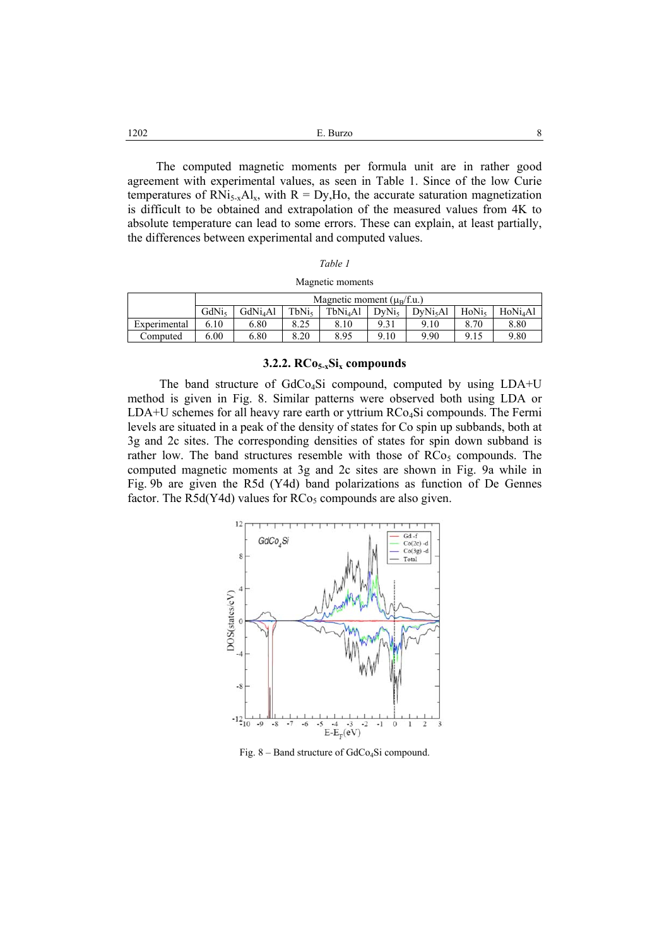| 1202 | E. Burzo |  |
|------|----------|--|
|------|----------|--|

The computed magnetic moments per formula unit are in rather good agreement with experimental values, as seen in Table 1. Since of the low Curie temperatures of RNi<sub>5-x</sub>Al<sub>x</sub>, with R = Dy,Ho, the accurate saturation magnetization is difficult to be obtained and extrapolation of the measured values from 4K to absolute temperature can lead to some errors. These can explain, at least partially, the differences between experimental and computed values.

| Magnetic moments |  |
|------------------|--|
|------------------|--|

|              | Magnetic moment $(\mu_R/f.u.)$ |                           |              |                      |                   |                      |                   |                    |
|--------------|--------------------------------|---------------------------|--------------|----------------------|-------------------|----------------------|-------------------|--------------------|
|              | GdNi <sub>s</sub>              | <b>GdNi<sub>4</sub>Al</b> | $\tau_{bNi}$ | TbNi <sub>4</sub> Al | DvNi <sub>5</sub> | DvNi <sub>5</sub> Al | HoN <sub>is</sub> | HoNi <sub>Al</sub> |
| Experimental | 6.10                           | 6.80                      | 8.25         | 8.10                 |                   | 9.10                 | 8.70              | 8.80               |
| Computed     | 5.00                           | 6.80                      | 8.20         | 8.95                 | 9.10              | 9.90                 | 9.15              | 9.80               |

## **3.2.2. RCo5-xSix compounds**

The band structure of GdCo4Si compound, computed by using LDA+U method is given in Fig. 8. Similar patterns were observed both using LDA or  $LDA+U$  schemes for all heavy rare earth or yttrium RCo<sub>4</sub>Si compounds. The Fermi levels are situated in a peak of the density of states for Co spin up subbands, both at 3g and 2c sites. The corresponding densities of states for spin down subband is rather low. The band structures resemble with those of  $RCo<sub>5</sub>$  compounds. The computed magnetic moments at 3g and 2c sites are shown in Fig. 9a while in Fig. 9b are given the R5d (Y4d) band polarizations as function of De Gennes factor. The R5d(Y4d) values for  $RCo<sub>5</sub>$  compounds are also given.



Fig. 8 – Band structure of GdCo<sub>4</sub>Si compound.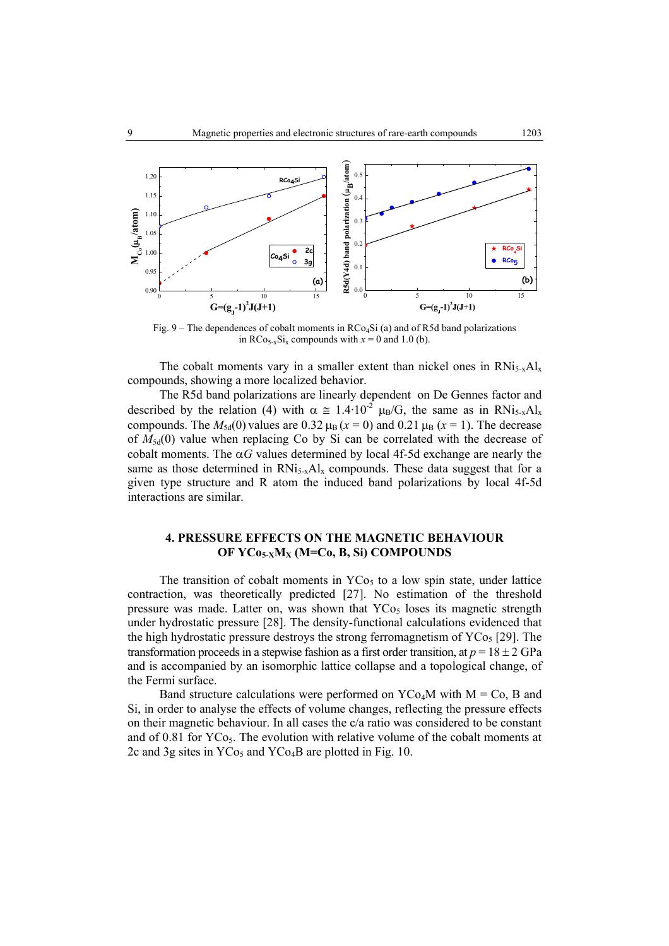

Fig. 9 – The dependences of cobalt moments in  $RCo<sub>4</sub>Si$  (a) and of R5d band polarizations in  $RCo_{5-x}Si_x$  compounds with  $x = 0$  and 1.0 (b).

The cobalt moments vary in a smaller extent than nickel ones in  $RNi<sub>5-x</sub>Al<sub>x</sub>$ compounds, showing a more localized behavior.

The R5d band polarizations are linearly dependent on De Gennes factor and described by the relation (4) with  $\alpha \approx 1.4 \cdot 10^{-2} \mu_B/G$ , the same as in RNi<sub>5-x</sub>Al<sub>x</sub> compounds. The  $M_{5d}(0)$  values are 0.32  $\mu_B$  ( $x = 0$ ) and 0.21  $\mu_B$  ( $x = 1$ ). The decrease of  $M_{5d}(0)$  value when replacing Co by Si can be correlated with the decrease of cobalt moments. The  $\alpha G$  values determined by local 4f-5d exchange are nearly the same as those determined in  $RNi<sub>5-x</sub>Al<sub>x</sub>$  compounds. These data suggest that for a given type structure and R atom the induced band polarizations by local 4f-5d interactions are similar.

## **4. PRESSURE EFFECTS ON THE MAGNETIC BEHAVIOUR OF YCo5-XMX (M=Co, B, Si) COMPOUNDS**

The transition of cobalt moments in  $YCo<sub>5</sub>$  to a low spin state, under lattice contraction, was theoretically predicted [27]. No estimation of the threshold pressure was made. Latter on, was shown that  $YCO<sub>5</sub>$  loses its magnetic strength under hydrostatic pressure [28]. The density-functional calculations evidenced that the high hydrostatic pressure destroys the strong ferromagnetism of  $YCo<sub>5</sub>$  [29]. The transformation proceeds in a stepwise fashion as a first order transition, at  $p = 18 \pm 2$  GPa and is accompanied by an isomorphic lattice collapse and a topological change, of the Fermi surface.

Band structure calculations were performed on  $YCo<sub>4</sub>M$  with  $M = Co$ , B and Si, in order to analyse the effects of volume changes, reflecting the pressure effects on their magnetic behaviour. In all cases the  $c/a$  ratio was considered to be constant and of 0.81 for  $Y\text{Co}_5$ . The evolution with relative volume of the cobalt moments at 2c and 3g sites in  $YCo<sub>5</sub>$  and  $YCo<sub>4</sub>B$  are plotted in Fig. 10.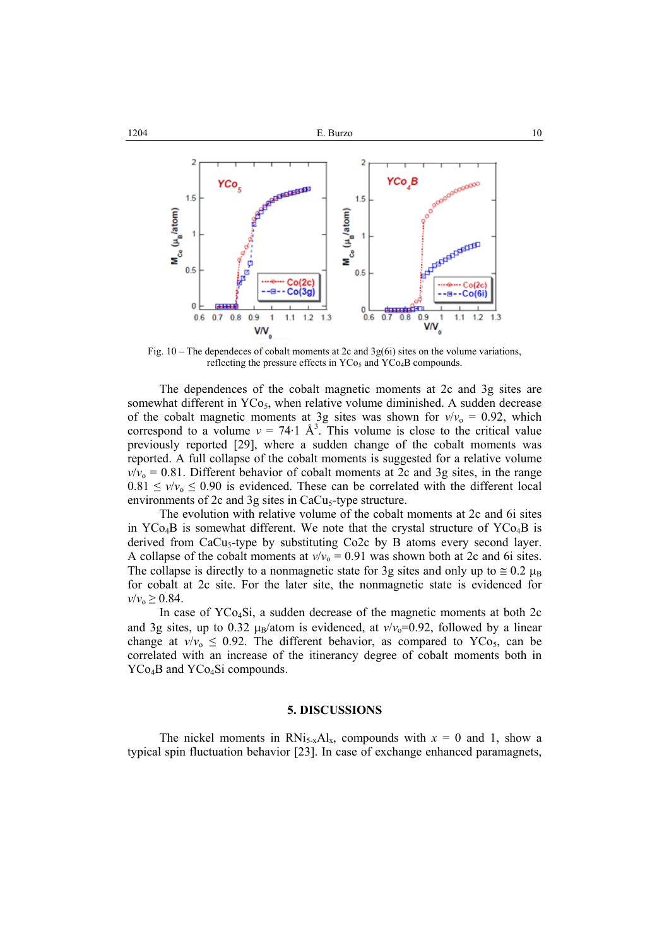

Fig.  $10$  – The dependeces of cobalt moments at 2c and 3g(6i) sites on the volume variations, reflecting the pressure effects in  $YCo<sub>5</sub>$  and  $YCo<sub>4</sub>B$  compounds.

The dependences of the cobalt magnetic moments at 2c and 3g sites are somewhat different in  $YCo<sub>5</sub>$ , when relative volume diminished. A sudden decrease of the cobalt magnetic moments at 3g sites was shown for  $v/v_0 = 0.92$ , which correspond to a volume  $v = 74.1 \text{ Å}^3$ . This volume is close to the critical value previously reported [29], where a sudden change of the cobalt moments was reported. A full collapse of the cobalt moments is suggested for a relative volume  $v/v_0 = 0.81$ . Different behavior of cobalt moments at 2c and 3g sites, in the range  $0.81 \le v/v_0 \le 0.90$  is evidenced. These can be correlated with the different local environments of  $2c$  and  $3g$  sites in CaCu<sub>5</sub>-type structure.

The evolution with relative volume of the cobalt moments at 2c and 6i sites in  $YCo<sub>4</sub>B$  is somewhat different. We note that the crystal structure of  $YCo<sub>4</sub>B$  is derived from  $CaCu<sub>5</sub>$ -type by substituting  $Co2c$  by B atoms every second layer. A collapse of the cobalt moments at  $v/v_0 = 0.91$  was shown both at 2c and 6i sites. The collapse is directly to a nonmagnetic state for 3g sites and only up to  $\approx 0.2 \mu_B$ for cobalt at 2c site. For the later site, the nonmagnetic state is evidenced for  $v/v_0 \ge 0.84$ .

In case of YCo4Si, a sudden decrease of the magnetic moments at both 2c and 3g sites, up to 0.32  $\mu_B$ /atom is evidenced, at  $v/v_0$ =0.92, followed by a linear change at  $v/v_0 \leq 0.92$ . The different behavior, as compared to YCo<sub>5</sub>, can be correlated with an increase of the itinerancy degree of cobalt moments both in YCo<sub>4</sub>B and YCo<sub>4</sub>Si compounds.

#### **5. DISCUSSIONS**

The nickel moments in  $RNi<sub>5-x</sub>Al<sub>x</sub>$ , compounds with  $x = 0$  and 1, show a typical spin fluctuation behavior [23]. In case of exchange enhanced paramagnets,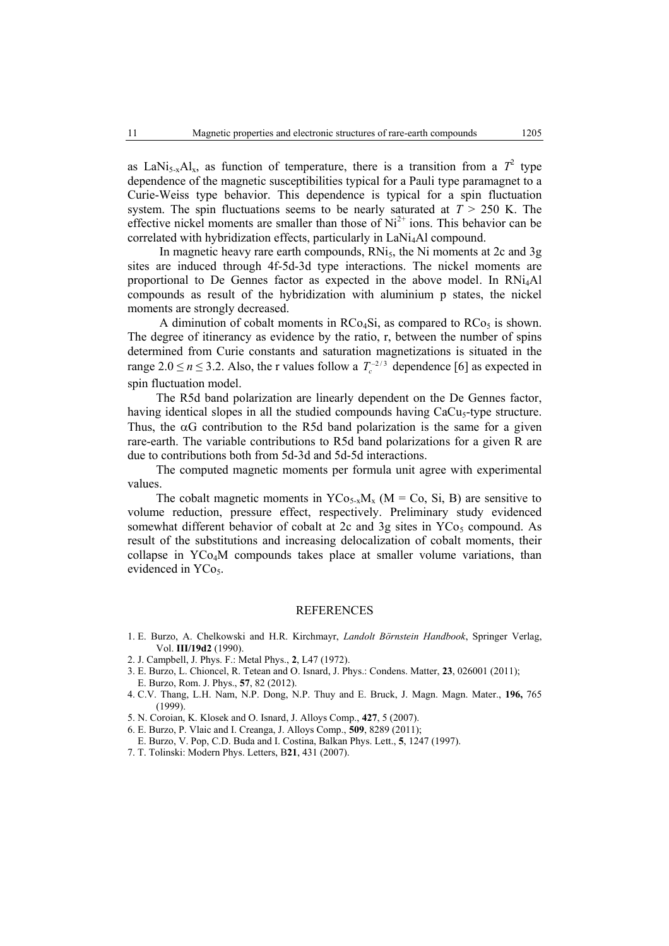as LaNi<sub>5-x</sub>Al<sub>x</sub>, as function of temperature, there is a transition from a  $T^2$  type dependence of the magnetic susceptibilities typical for a Pauli type paramagnet to a Curie-Weiss type behavior. This dependence is typical for a spin fluctuation system. The spin fluctuations seems to be nearly saturated at  $T > 250$  K. The effective nickel moments are smaller than those of  $Ni<sup>2+</sup>$  ions. This behavior can be correlated with hybridization effects, particularly in LaNi4Al compound.

In magnetic heavy rare earth compounds,  $RN<sub>15</sub>$ , the Ni moments at 2c and 3g sites are induced through 4f-5d-3d type interactions. The nickel moments are proportional to De Gennes factor as expected in the above model. In RNi4Al compounds as result of the hybridization with aluminium p states, the nickel moments are strongly decreased.

A diminution of cobalt moments in  $RCo<sub>4</sub>Si$ , as compared to  $RCo<sub>5</sub>$  is shown. The degree of itinerancy as evidence by the ratio, r, between the number of spins determined from Curie constants and saturation magnetizations is situated in the range 2.0  $\le n \le 3.2$ . Also, the r values follow a  $T_c^{-2/3}$  dependence [6] as expected in spin fluctuation model.

 The R5d band polarization are linearly dependent on the De Gennes factor, having identical slopes in all the studied compounds having CaCu<sub>s</sub>-type structure. Thus, the  $\alpha G$  contribution to the R5d band polarization is the same for a given rare-earth. The variable contributions to R5d band polarizations for a given R are due to contributions both from 5d-3d and 5d-5d interactions.

 The computed magnetic moments per formula unit agree with experimental values.

The cobalt magnetic moments in  $YCo_{5-x}M_x$  (M = Co, Si, B) are sensitive to volume reduction, pressure effect, respectively. Preliminary study evidenced somewhat different behavior of cobalt at 2c and 3g sites in  $YCo<sub>5</sub>$  compound. As result of the substitutions and increasing delocalization of cobalt moments, their collapse in YCo4M compounds takes place at smaller volume variations, than evidenced in YCo<sub>5</sub>.

## **REFERENCES**

- 1. E. Burzo, A. Chelkowski and H.R. Kirchmayr, *Landolt Börnstein Handbook*, Springer Verlag, Vol. **III/19d2** (1990).
- 2. J. Campbell, J. Phys. F.: Metal Phys., **2**, L47 (1972).
- 3. E. Burzo, L. Chioncel, R. Tetean and O. Isnard, J. Phys.: Condens. Matter, **23**, 026001 (2011); E. Burzo, Rom. J. Phys., **57**, 82 (2012).
- 4. C.V. Thang, L.H. Nam, N.P. Dong, N.P. Thuy and E. Bruck, J. Magn. Magn. Mater., **196,** 765 (1999).
- 5. N. Coroian, K. Klosek and O. Isnard, J. Alloys Comp., **427**, 5 (2007).
- 6. E. Burzo, P. Vlaic and I. Creanga, J. Alloys Comp., **509**, 8289 (2011);
- E. Burzo, V. Pop, C.D. Buda and I. Costina, Balkan Phys. Lett., **5**, 1247 (1997).
- 7. T. Tolinski: Modern Phys. Letters, B**21**, 431 (2007).